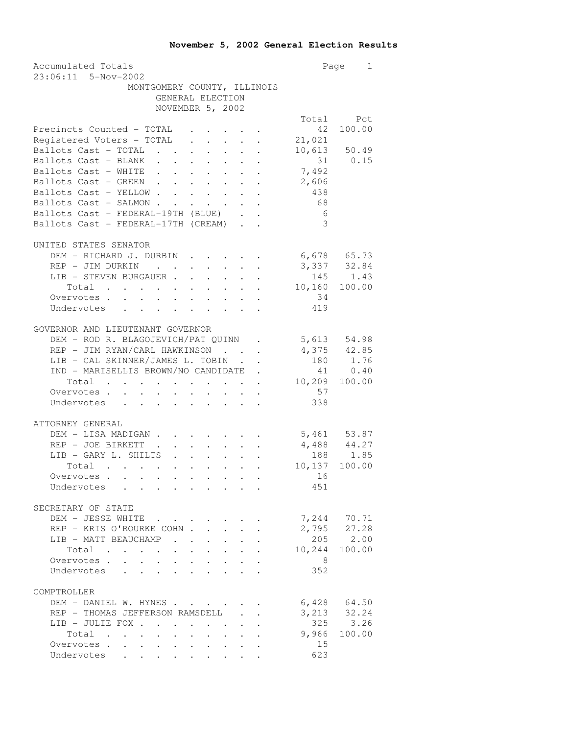| Accumulated Totals                                                                                                                                                                                                                                                                                                                                                    |                                                           |                                | Page<br>$\mathbf{1}$ |
|-----------------------------------------------------------------------------------------------------------------------------------------------------------------------------------------------------------------------------------------------------------------------------------------------------------------------------------------------------------------------|-----------------------------------------------------------|--------------------------------|----------------------|
| 23:06:11 5-Nov-2002                                                                                                                                                                                                                                                                                                                                                   |                                                           |                                |                      |
| MONTGOMERY COUNTY, ILLINOIS                                                                                                                                                                                                                                                                                                                                           |                                                           |                                |                      |
| GENERAL ELECTION<br>NOVEMBER 5, 2002                                                                                                                                                                                                                                                                                                                                  |                                                           |                                |                      |
|                                                                                                                                                                                                                                                                                                                                                                       |                                                           |                                | Total Pct            |
| Precincts Counted - TOTAL                                                                                                                                                                                                                                                                                                                                             |                                                           | 42                             | 100.00               |
| Registered Voters - TOTAL                                                                                                                                                                                                                                                                                                                                             |                                                           | 21,021                         |                      |
| Ballots Cast - TOTAL                                                                                                                                                                                                                                                                                                                                                  |                                                           | 10,613                         | 50.49                |
| Ballots Cast - BLANK .<br>$\mathcal{A}^{\mathcal{A}}$ . The contribution of the contribution of $\mathcal{A}^{\mathcal{A}}$                                                                                                                                                                                                                                           |                                                           | 31                             | 0.15                 |
| Ballots Cast - WHITE .<br>$\mathcal{A}^{\mathcal{A}}$ , $\mathcal{A}^{\mathcal{A}}$<br>$\mathcal{L}^{\text{max}}$                                                                                                                                                                                                                                                     | $\sim$<br>$\cdot$ $\cdot$                                 | 7,492                          |                      |
| Ballots Cast - GREEN .<br>$\sim$<br>$\ddot{\phantom{a}}$<br>$\mathbf{L}^{\text{max}}$<br>$\ddot{\phantom{0}}$                                                                                                                                                                                                                                                         | $\ddot{\phantom{0}}$<br>$\ddot{\phantom{0}}$              | 2,606                          |                      |
| Ballots Cast - YELLOW.<br>$\mathbf{L}$<br>$\mathbf{r}$<br>$\sim$<br>$\sim$                                                                                                                                                                                                                                                                                            | $\ddot{\phantom{0}}$<br>$\mathbf{L}^{\text{max}}$         | 438                            |                      |
| Ballots Cast - SALMON<br>$\mathbf{L}^{\text{max}}$<br>$\ddot{\phantom{0}}$                                                                                                                                                                                                                                                                                            | $\mathbf{L}$ and $\mathbf{L}$                             | 68                             |                      |
| Ballots Cast - FEDERAL-19TH (BLUE)                                                                                                                                                                                                                                                                                                                                    |                                                           | - 6                            |                      |
| Ballots Cast - FEDERAL-17TH (CREAM)                                                                                                                                                                                                                                                                                                                                   |                                                           | $\overline{\mathbf{3}}$        |                      |
|                                                                                                                                                                                                                                                                                                                                                                       |                                                           |                                |                      |
| UNITED STATES SENATOR                                                                                                                                                                                                                                                                                                                                                 |                                                           |                                |                      |
| DEM - RICHARD J. DURBIN                                                                                                                                                                                                                                                                                                                                               |                                                           |                                |                      |
| REP - JIM DURKIN<br>$\mathbf{r}$ , $\mathbf{r}$                                                                                                                                                                                                                                                                                                                       |                                                           | $6,678$ $65.73$<br>3,337 32.84 |                      |
| LIB - STEVEN BURGAUER .<br>$\cdot$<br>$\mathbf{L}^{\text{max}}$<br>$\sim$ $-$                                                                                                                                                                                                                                                                                         | $\mathbf{L}^{\text{max}}$                                 | 145                            | 1.43                 |
|                                                                                                                                                                                                                                                                                                                                                                       |                                                           | 10,160                         | 100.00               |
| Overvotes.                                                                                                                                                                                                                                                                                                                                                            |                                                           | 34                             |                      |
| $\mathbf{r}$ and $\mathbf{r}$ and $\mathbf{r}$ and $\mathbf{r}$ and $\mathbf{r}$<br>Undervotes                                                                                                                                                                                                                                                                        |                                                           | 419                            |                      |
|                                                                                                                                                                                                                                                                                                                                                                       |                                                           |                                |                      |
| GOVERNOR AND LIEUTENANT GOVERNOR                                                                                                                                                                                                                                                                                                                                      |                                                           |                                |                      |
| DEM - ROD R. BLAGOJEVICH/PAT QUINN.                                                                                                                                                                                                                                                                                                                                   |                                                           | 5,613                          | 54.98                |
| REP - JIM RYAN/CARL HAWKINSON                                                                                                                                                                                                                                                                                                                                         | <b>Contract Contract Contract</b>                         | 4,375 42.85                    |                      |
| LIB - CAL SKINNER/JAMES L. TOBIN.                                                                                                                                                                                                                                                                                                                                     | $\ddot{\phantom{0}}$                                      | 180                            | 1.76                 |
| IND - MARISELLIS BROWN/NO CANDIDATE .                                                                                                                                                                                                                                                                                                                                 |                                                           | 41                             | 0.40                 |
| Total .<br>$\bullet$ .<br><br><br><br><br><br><br><br><br><br><br><br>                                                                                                                                                                                                                                                                                                |                                                           | 10,209                         | 100.00               |
| Overvotes .<br>$\mathbf{r}$ , and $\mathbf{r}$ , and $\mathbf{r}$ , and $\mathbf{r}$<br>$\mathbf{L}$                                                                                                                                                                                                                                                                  |                                                           | 57                             |                      |
| Undervotes                                                                                                                                                                                                                                                                                                                                                            |                                                           | 338                            |                      |
|                                                                                                                                                                                                                                                                                                                                                                       |                                                           |                                |                      |
| ATTORNEY GENERAL                                                                                                                                                                                                                                                                                                                                                      |                                                           |                                |                      |
| DEM - LISA MADIGAN.<br>$\mathbf{r} = \mathbf{r} \cdot \mathbf{r}$ , where $\mathbf{r} = \mathbf{r} \cdot \mathbf{r}$<br>REP - JOE BIRKETT .                                                                                                                                                                                                                           |                                                           |                                | 5,461 53.87          |
| $\sim 10^{-11}$<br>$\mathbf{L}^{\text{max}}$<br>LIB - GARY L. SHILTS<br>$\sim$ $\sim$<br>$\ddot{\phantom{0}}$<br>$\ddot{\phantom{0}}$                                                                                                                                                                                                                                 |                                                           | $4,488$ $44.27$                | 188 1.85             |
| Total<br>$\bullet$ .                                                                                                                                                                                                                                                                                                                                                  | $\sim$                                                    | 10,137 100.00                  |                      |
| Overvotes                                                                                                                                                                                                                                                                                                                                                             |                                                           | 16                             |                      |
| Undervotes                                                                                                                                                                                                                                                                                                                                                            |                                                           | 451                            |                      |
|                                                                                                                                                                                                                                                                                                                                                                       |                                                           |                                |                      |
| SECRETARY OF STATE                                                                                                                                                                                                                                                                                                                                                    |                                                           |                                |                      |
| DEM - JESSE WHITE                                                                                                                                                                                                                                                                                                                                                     |                                                           |                                | 7,244 70.71          |
| REP - KRIS O'ROURKE COHN.                                                                                                                                                                                                                                                                                                                                             |                                                           | 2,795                          | 27.28                |
| LIB - MATT BEAUCHAMP.<br>$\ddot{\phantom{0}}$                                                                                                                                                                                                                                                                                                                         |                                                           | 205                            | 2.00                 |
| Total<br>$\sim 100$ km s $^{-1}$                                                                                                                                                                                                                                                                                                                                      |                                                           | 10,244                         | 100.00               |
| Overvotes .<br>$\ddot{\phantom{0}}$<br>$\sim$<br>$\ddot{\phantom{a}}$<br>$\ddot{\phantom{a}}$                                                                                                                                                                                                                                                                         |                                                           | 8 <sup>8</sup>                 |                      |
| $\ddot{\phantom{a}}$<br>$\mathbb{R}^{n+1}$<br>Undervotes<br>$\mathbf{r}$<br>$\mathbf{L}^{\text{max}}$<br>$\ddot{\phantom{0}}$                                                                                                                                                                                                                                         |                                                           | 352                            |                      |
|                                                                                                                                                                                                                                                                                                                                                                       |                                                           |                                |                      |
| COMPTROLLER                                                                                                                                                                                                                                                                                                                                                           |                                                           |                                |                      |
| DEM - DANIEL W. HYNES                                                                                                                                                                                                                                                                                                                                                 |                                                           |                                | $6,428$ $64.50$      |
| REP - THOMAS JEFFERSON RAMSDELL                                                                                                                                                                                                                                                                                                                                       | $\ddot{\phantom{0}}$<br>$\ddot{\phantom{0}}$              |                                | 3, 213 32.24         |
| LIB - JULIE FOX .<br>$\sim$<br>$\ddot{\phantom{a}}$                                                                                                                                                                                                                                                                                                                   |                                                           |                                | 325 3.26             |
| Total .<br>$\mathbf{u}^{\prime}$ , and $\mathbf{u}^{\prime}$ , and $\mathbf{u}^{\prime}$ , and $\mathbf{u}^{\prime}$                                                                                                                                                                                                                                                  | $\bullet$ , $\bullet$ , $\bullet$ , $\bullet$ , $\bullet$ | 9,966                          | 100.00               |
| Overvotes .<br>$\ddot{\phantom{0}}$<br>$\sigma_{\rm{eff}}$ , $\sigma_{\rm{eff}}$ , $\sigma_{\rm{eff}}$                                                                                                                                                                                                                                                                |                                                           | 15                             |                      |
| Undervotes<br>$\ddot{\phantom{a}}$ . The contract of the contract of the contract of the contract of the contract of the contract of the contract of the contract of the contract of the contract of the contract of the contract of the contract of<br>$\mathbf{L}^{\text{max}}$<br>$\mathbf{L}^{\text{max}}$<br>$\mathbf{L}^{\mathrm{max}}$<br>$\ddot{\phantom{0}}$ |                                                           | 623                            |                      |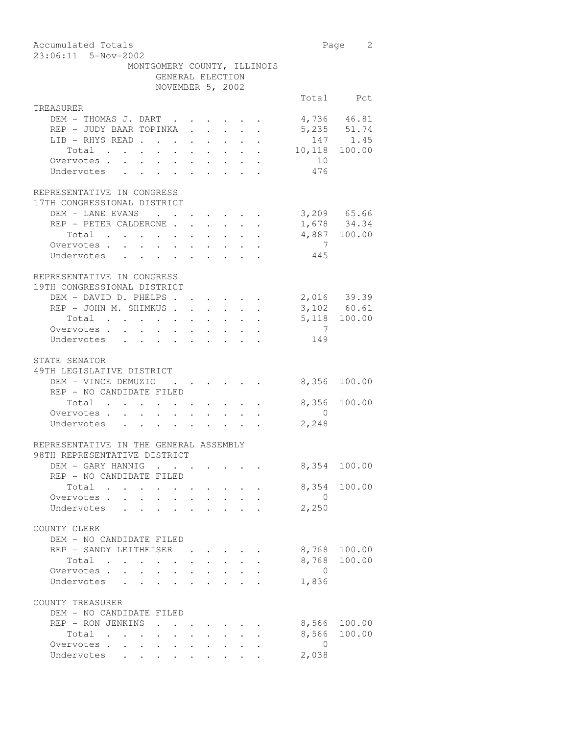| Accumulated Totals<br>23:06:11 5-Nov-2002                                                                                        |                | 2<br>Page                  |
|----------------------------------------------------------------------------------------------------------------------------------|----------------|----------------------------|
| MONTGOMERY COUNTY, ILLINOIS<br>GENERAL ELECTION                                                                                  |                |                            |
| NOVEMBER 5, 2002                                                                                                                 |                |                            |
|                                                                                                                                  |                | Total Pct                  |
| TREASURER                                                                                                                        |                |                            |
| DEM - THOMAS J. DART .                                                                                                           |                | 4,736 46.81                |
| REP - JUDY BAAR TOPINKA                                                                                                          |                | 5,235 51.74                |
| LIB - RHYS READ<br>$\ddot{\phantom{0}}$<br>$\ddot{\phantom{0}}$<br>$\ddot{\phantom{0}}$<br>$\sim$ $\sim$                         | 147            | 1.45                       |
| $\mathbf{r} = \mathbf{r} \times \mathbf{r}$<br>Total<br>$\mathbf{r} = \mathbf{r} + \mathbf{r}$                                   | 10,118         | 100.00                     |
| Overvotes.                                                                                                                       | 10             |                            |
| Undervotes                                                                                                                       | 476            |                            |
| REPRESENTATIVE IN CONGRESS<br>17TH CONGRESSIONAL DISTRICT                                                                        |                |                            |
| DEM - LANE EVANS                                                                                                                 |                | 3,209 65.66                |
| REP - PETER CALDERONE .                                                                                                          |                | 1,678 34.34                |
| $\mathbf{r}$ , $\mathbf{r}$ , $\mathbf{r}$<br>Total<br>$\mathbf{L}^{\text{max}}$                                                 | 4,887          | 100.00                     |
| Overvotes.                                                                                                                       | $\overline{7}$ |                            |
| Undervotes                                                                                                                       | 445            |                            |
| REPRESENTATIVE IN CONGRESS<br>19TH CONGRESSIONAL DISTRICT                                                                        |                |                            |
| DEM - DAVID D. PHELPS.                                                                                                           |                |                            |
| REP - JOHN M. SHIMKUS.                                                                                                           |                | 2,016 39.39<br>3,102 60.61 |
| Total<br>$\sim$<br>$\sim$<br>$\sim$<br>$\ddot{\phantom{0}}$<br>$\bullet$ .<br><br><br><br><br><br><br><br><br><br><br><br>       | 5,118          | 100.00                     |
| Overvotes.                                                                                                                       | 7              |                            |
| Undervotes<br>$\mathbf{r}$ , $\mathbf{r}$ , $\mathbf{r}$ , $\mathbf{r}$ , $\mathbf{r}$<br>$\ddot{\phantom{a}}$                   | 149            |                            |
| STATE SENATOR<br>49TH LEGISLATIVE DISTRICT<br>DEM - VINCE DEMUZIO<br>$\bullet$ .<br><br><br><br><br><br><br><br><br><br><br><br> | 8,356          | 100.00                     |
| REP - NO CANDIDATE FILED<br>Total .                                                                                              | 8,356          | 100.00                     |
| Overvotes .<br>$\mathbf{r}$<br>$\sim$<br>$\sim$<br>$\mathbf{r} = \mathbf{r}$                                                     | $\Omega$       |                            |
| Undervotes<br>$\mathbf{r}$ , $\mathbf{r}$ , $\mathbf{r}$ , $\mathbf{r}$                                                          | 2,248          |                            |
| REPRESENTATIVE IN THE GENERAL ASSEMBLY<br>98TH REPRESENTATIVE DISTRICT                                                           |                |                            |
| DEM - GARY HANNIG                                                                                                                | 8,354          | 100.00                     |
| REP - NO CANDIDATE FILED                                                                                                         |                |                            |
| Total .<br>$\mathbf{r}$                                                                                                          | 8,354          | 100.00                     |
| Overvotes .                                                                                                                      | $\overline{0}$ |                            |
| Undervotes<br>$\mathbf{L}$                                                                                                       | 2,250          |                            |
| COUNTY CLERK<br>DEM - NO CANDIDATE FILED                                                                                         |                |                            |
| REP - SANDY LEITHEISER                                                                                                           | 8,768          | 100.00                     |
| Total<br>$\mathcal{L}(\mathcal{A})$ , and $\mathcal{L}(\mathcal{A})$ , and                                                       | 8,768          | 100.00                     |
| Overvotes .                                                                                                                      | $\overline{0}$ |                            |
| Undervotes<br>$\ddot{\phantom{a}}$<br>$\ddot{\phantom{a}}$                                                                       | 1,836          |                            |
| COUNTY TREASURER                                                                                                                 |                |                            |
| DEM - NO CANDIDATE FILED                                                                                                         |                |                            |
| REP - RON JENKINS                                                                                                                | 8,566          | 100.00                     |
| Total<br>$\sim$<br>$\sim 100$ km s $^{-1}$                                                                                       | 8,566          | 100.00                     |
| Overvotes<br>$\bullet$ .                                                                                                         | 0              |                            |
| Undervotes<br>$\bullet$ .<br><br><br><br><br><br><br><br><br><br><br><br><br>$\bullet$ .<br>$\bullet$ .<br>$\bullet$ .           | 2,038          |                            |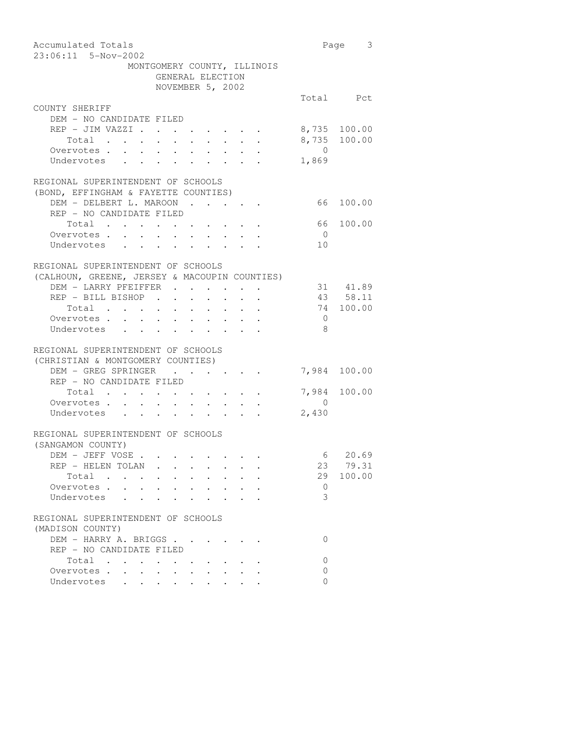| Accumulated Totals                                                                                              |                                                                                                                      |                                                                                            |                      |                      |                      |                           |                | Page 3       |
|-----------------------------------------------------------------------------------------------------------------|----------------------------------------------------------------------------------------------------------------------|--------------------------------------------------------------------------------------------|----------------------|----------------------|----------------------|---------------------------|----------------|--------------|
| 23:06:11 5-Nov-2002                                                                                             |                                                                                                                      |                                                                                            |                      |                      |                      |                           |                |              |
|                                                                                                                 | MONTGOMERY COUNTY, ILLINOIS                                                                                          |                                                                                            |                      |                      |                      |                           |                |              |
|                                                                                                                 | GENERAL ELECTION                                                                                                     |                                                                                            |                      |                      |                      |                           |                |              |
|                                                                                                                 | NOVEMBER 5, 2002                                                                                                     |                                                                                            |                      |                      |                      |                           |                |              |
|                                                                                                                 |                                                                                                                      |                                                                                            |                      |                      |                      |                           |                | Total Pct    |
| COUNTY SHERIFF                                                                                                  |                                                                                                                      |                                                                                            |                      |                      |                      |                           |                |              |
| DEM - NO CANDIDATE FILED                                                                                        |                                                                                                                      |                                                                                            |                      |                      |                      |                           |                |              |
| $REF$ - JIM VAZZI                                                                                               |                                                                                                                      | $\mathbf{r} = \mathbf{r} + \mathbf{r} + \mathbf{r} + \mathbf{r} + \mathbf{r} + \mathbf{r}$ |                      |                      |                      |                           |                | 8,735 100.00 |
| Total<br>$\sim 10^{-11}$                                                                                        | $\bullet$ .<br>$\sim$ $-$                                                                                            | $\sim$ $-$                                                                                 | $\ddot{\phantom{0}}$ | $\ddot{\phantom{0}}$ | $\ddot{\phantom{0}}$ |                           |                | 8,735 100.00 |
| Overvotes.                                                                                                      |                                                                                                                      |                                                                                            |                      |                      |                      |                           | $\overline{0}$ |              |
| Undervotes                                                                                                      |                                                                                                                      |                                                                                            |                      |                      |                      |                           | 1,869          |              |
|                                                                                                                 |                                                                                                                      |                                                                                            |                      |                      |                      |                           |                |              |
| REGIONAL SUPERINTENDENT OF SCHOOLS                                                                              |                                                                                                                      |                                                                                            |                      |                      |                      |                           |                |              |
| (BOND, EFFINGHAM & FAYETTE COUNTIES)                                                                            |                                                                                                                      |                                                                                            |                      |                      |                      |                           |                |              |
| DEM - DELBERT L. MAROON                                                                                         |                                                                                                                      |                                                                                            |                      |                      |                      |                           |                | 66 100.00    |
| REP - NO CANDIDATE FILED                                                                                        |                                                                                                                      |                                                                                            |                      |                      |                      |                           |                |              |
| Total                                                                                                           |                                                                                                                      |                                                                                            |                      |                      |                      |                           |                | 66 100.00    |
| Overvotes.<br>$\sim$<br>$\ddot{\phantom{a}}$                                                                    | $\ddot{\phantom{a}}$                                                                                                 | $\sim$                                                                                     |                      |                      | $\sim$ $\sim$ $\sim$ |                           | $\overline{0}$ |              |
| $\mathcal{A}=\mathcal{A}=\mathcal{A}=\mathcal{A}=\mathcal{A}=\mathcal{A}=\mathcal{A}=\mathcal{A}$<br>Undervotes |                                                                                                                      |                                                                                            |                      |                      |                      | $\mathbf{L} = \mathbf{L}$ | 10             |              |
|                                                                                                                 |                                                                                                                      |                                                                                            |                      |                      |                      |                           |                |              |
| REGIONAL SUPERINTENDENT OF SCHOOLS                                                                              |                                                                                                                      |                                                                                            |                      |                      |                      |                           |                |              |
| (CALHOUN, GREENE, JERSEY & MACOUPIN COUNTIES)                                                                   |                                                                                                                      |                                                                                            |                      |                      |                      |                           |                |              |
| DEM - LARRY PFEIFFER                                                                                            |                                                                                                                      |                                                                                            |                      |                      |                      |                           |                | 31 41.89     |
|                                                                                                                 |                                                                                                                      |                                                                                            |                      |                      |                      |                           |                |              |
| REP - BILL BISHOP                                                                                               |                                                                                                                      |                                                                                            |                      |                      |                      |                           |                | 43 58.11     |
| Total $\cdots$                                                                                                  |                                                                                                                      |                                                                                            |                      |                      |                      |                           |                | 74 100.00    |
| Overvotes .<br>$\sim$                                                                                           | $\mathbf{u} = \mathbf{u} + \mathbf{u} + \mathbf{u} + \mathbf{u} + \mathbf{u} + \mathbf{u} + \mathbf{u} + \mathbf{u}$ |                                                                                            |                      |                      |                      |                           | $\overline{0}$ |              |
| Undervotes<br>$\mathbf{r}$ , and $\mathbf{r}$ , and $\mathbf{r}$ , and $\mathbf{r}$                             |                                                                                                                      |                                                                                            |                      | $\sim 10^{-11}$      |                      |                           | - 8            |              |
|                                                                                                                 |                                                                                                                      |                                                                                            |                      |                      |                      |                           |                |              |
| REGIONAL SUPERINTENDENT OF SCHOOLS                                                                              |                                                                                                                      |                                                                                            |                      |                      |                      |                           |                |              |
| (CHRISTIAN & MONTGOMERY COUNTIES)                                                                               |                                                                                                                      |                                                                                            |                      |                      |                      |                           |                |              |
| DEM - GREG SPRINGER                                                                                             |                                                                                                                      |                                                                                            |                      |                      |                      |                           |                | 7,984 100.00 |
| REP - NO CANDIDATE FILED                                                                                        |                                                                                                                      |                                                                                            |                      |                      |                      |                           |                |              |
| Total                                                                                                           |                                                                                                                      |                                                                                            |                      |                      |                      |                           |                | 7,984 100.00 |
| Overvotes                                                                                                       |                                                                                                                      |                                                                                            |                      |                      |                      |                           | $\overline{0}$ |              |
| Undervotes                                                                                                      |                                                                                                                      |                                                                                            |                      |                      |                      |                           | 2,430          |              |
|                                                                                                                 |                                                                                                                      |                                                                                            |                      |                      |                      |                           |                |              |
| REGIONAL SUPERINTENDENT OF SCHOOLS                                                                              |                                                                                                                      |                                                                                            |                      |                      |                      |                           |                |              |
| (SANGAMON COUNTY)                                                                                               |                                                                                                                      |                                                                                            |                      |                      |                      |                           |                |              |
| DEM – JEFF VOSE                                                                                                 |                                                                                                                      |                                                                                            |                      |                      |                      |                           |                | 6 20.69      |
| REP - HELEN TOLAN.                                                                                              |                                                                                                                      |                                                                                            |                      |                      |                      |                           |                | 23 79.31     |
| Total                                                                                                           | $\bullet$                                                                                                            |                                                                                            |                      |                      |                      |                           |                | 29 100.00    |
| Overvotes .<br>$\bullet$ . In the $\bullet$ , and $\bullet$                                                     | $\bullet$ .<br><br><br><br><br><br><br><br><br><br><br><br>                                                          |                                                                                            |                      |                      |                      |                           | $\circ$        |              |
| Undervotes                                                                                                      |                                                                                                                      |                                                                                            |                      |                      |                      |                           | 3              |              |
|                                                                                                                 |                                                                                                                      |                                                                                            |                      |                      |                      |                           |                |              |
| REGIONAL SUPERINTENDENT OF SCHOOLS                                                                              |                                                                                                                      |                                                                                            |                      |                      |                      |                           |                |              |
| (MADISON COUNTY)                                                                                                |                                                                                                                      |                                                                                            |                      |                      |                      |                           |                |              |
| DEM - HARRY A. BRIGGS                                                                                           |                                                                                                                      |                                                                                            |                      |                      |                      |                           | 0              |              |
| REP - NO CANDIDATE FILED                                                                                        |                                                                                                                      |                                                                                            |                      |                      |                      |                           |                |              |
| Total                                                                                                           |                                                                                                                      |                                                                                            |                      |                      |                      |                           | 0              |              |
| Overvotes                                                                                                       |                                                                                                                      | $\bullet$ .<br><br><br><br><br><br><br><br><br><br><br><br><br><br>                        |                      |                      |                      |                           | $\Omega$       |              |
| Undervotes                                                                                                      |                                                                                                                      |                                                                                            |                      |                      |                      |                           | $\Omega$       |              |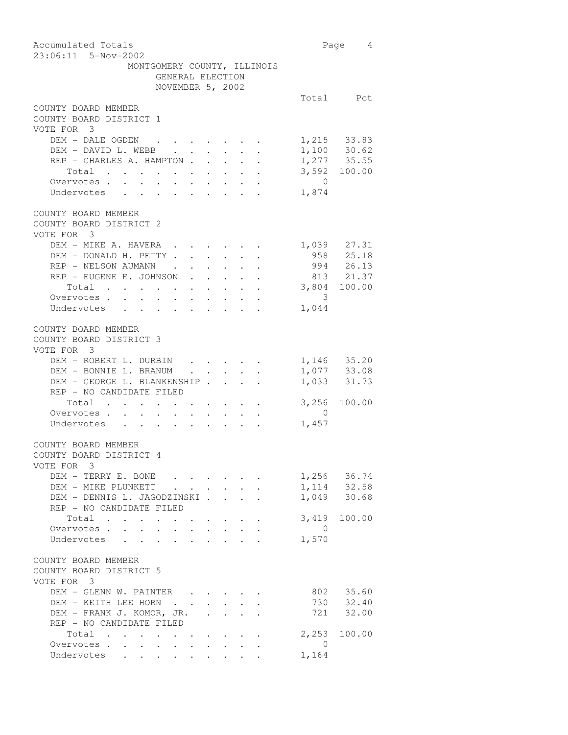| Accumulated Totals                                                                                                                                                                                                                                                                                                                                                                                                                                                                                     |                | Page 4                 |
|--------------------------------------------------------------------------------------------------------------------------------------------------------------------------------------------------------------------------------------------------------------------------------------------------------------------------------------------------------------------------------------------------------------------------------------------------------------------------------------------------------|----------------|------------------------|
| 23:06:11 5-Nov-2002                                                                                                                                                                                                                                                                                                                                                                                                                                                                                    |                |                        |
| MONTGOMERY COUNTY, ILLINOIS                                                                                                                                                                                                                                                                                                                                                                                                                                                                            |                |                        |
| GENERAL ELECTION                                                                                                                                                                                                                                                                                                                                                                                                                                                                                       |                |                        |
| NOVEMBER 5, 2002                                                                                                                                                                                                                                                                                                                                                                                                                                                                                       |                |                        |
|                                                                                                                                                                                                                                                                                                                                                                                                                                                                                                        |                | Total Pct              |
| COUNTY BOARD MEMBER                                                                                                                                                                                                                                                                                                                                                                                                                                                                                    |                |                        |
| COUNTY BOARD DISTRICT 1                                                                                                                                                                                                                                                                                                                                                                                                                                                                                |                |                        |
| VOTE FOR 3                                                                                                                                                                                                                                                                                                                                                                                                                                                                                             |                |                        |
| DEM - DALE OGDEN                                                                                                                                                                                                                                                                                                                                                                                                                                                                                       |                | 1,215 33.83            |
| DEM - DAVID L. WEBB.                                                                                                                                                                                                                                                                                                                                                                                                                                                                                   |                | $1,100$ 30.62          |
| REP - CHARLES A. HAMPTON                                                                                                                                                                                                                                                                                                                                                                                                                                                                               |                | $1,277$ 35.55          |
| Total                                                                                                                                                                                                                                                                                                                                                                                                                                                                                                  |                | 3,592 100.00           |
| Overvotes.                                                                                                                                                                                                                                                                                                                                                                                                                                                                                             | $\overline{0}$ |                        |
| Undervotes                                                                                                                                                                                                                                                                                                                                                                                                                                                                                             | 1,874          |                        |
|                                                                                                                                                                                                                                                                                                                                                                                                                                                                                                        |                |                        |
| COUNTY BOARD MEMBER                                                                                                                                                                                                                                                                                                                                                                                                                                                                                    |                |                        |
|                                                                                                                                                                                                                                                                                                                                                                                                                                                                                                        |                |                        |
| COUNTY BOARD DISTRICT 2                                                                                                                                                                                                                                                                                                                                                                                                                                                                                |                |                        |
| VOTE FOR 3                                                                                                                                                                                                                                                                                                                                                                                                                                                                                             |                |                        |
| DEM - MIKE A. HAVERA                                                                                                                                                                                                                                                                                                                                                                                                                                                                                   |                | 1,039 27.31            |
| DEM - DONALD H. PETTY                                                                                                                                                                                                                                                                                                                                                                                                                                                                                  |                | 958 25.18              |
| REP - NELSON AUMANN                                                                                                                                                                                                                                                                                                                                                                                                                                                                                    |                | 994 26.13              |
| REP - EUGENE E. JOHNSON                                                                                                                                                                                                                                                                                                                                                                                                                                                                                |                | 813 21.37              |
| Total 3,804 100.00                                                                                                                                                                                                                                                                                                                                                                                                                                                                                     |                |                        |
| Overvotes.                                                                                                                                                                                                                                                                                                                                                                                                                                                                                             | 3              |                        |
| Undervotes                                                                                                                                                                                                                                                                                                                                                                                                                                                                                             | 1,044          |                        |
|                                                                                                                                                                                                                                                                                                                                                                                                                                                                                                        |                |                        |
| COUNTY BOARD MEMBER                                                                                                                                                                                                                                                                                                                                                                                                                                                                                    |                |                        |
| COUNTY BOARD DISTRICT 3                                                                                                                                                                                                                                                                                                                                                                                                                                                                                |                |                        |
| VOTE FOR 3                                                                                                                                                                                                                                                                                                                                                                                                                                                                                             |                |                        |
| DEM - ROBERT L. DURBIN<br>$\mathbf{r}$ , and $\mathbf{r}$ , and $\mathbf{r}$ , and $\mathbf{r}$                                                                                                                                                                                                                                                                                                                                                                                                        |                | 1,146 35.20            |
| DEM - BONNIE L. BRANUM<br>$\mathcal{L}^{\mathcal{A}}$ . The contract of the contract of the contract of the contract of the contract of the contract of the contract of the contract of the contract of the contract of the contract of the contract of the contrac                                                                                                                                                                                                                                    |                | 1,077 33.08            |
| DEM - GEORGE L. BLANKENSHIP                                                                                                                                                                                                                                                                                                                                                                                                                                                                            |                | 1,033 31.73            |
| REP - NO CANDIDATE FILED                                                                                                                                                                                                                                                                                                                                                                                                                                                                               |                |                        |
|                                                                                                                                                                                                                                                                                                                                                                                                                                                                                                        |                | 3,256 100.00           |
| Total<br>Overvotes.                                                                                                                                                                                                                                                                                                                                                                                                                                                                                    | $\overline{0}$ |                        |
| $\begin{aligned} \mathbf{1}_{\mathcal{A}}\left(\mathbf{1}_{\mathcal{A}}\right) & = \mathbf{1}_{\mathcal{A}}\left(\mathbf{1}_{\mathcal{A}}\right) + \mathbf{1}_{\mathcal{A}}\left(\mathbf{1}_{\mathcal{A}}\right) + \mathbf{1}_{\mathcal{A}}\left(\mathbf{1}_{\mathcal{A}}\right) + \mathbf{1}_{\mathcal{A}}\left(\mathbf{1}_{\mathcal{A}}\right) + \mathbf{1}_{\mathcal{A}}\left(\mathbf{1}_{\mathcal{A}}\right) + \mathbf{1}_{\mathcal{A}}\left(\mathbf{1}_{\mathcal{A}}\right) + \mathbf{$<br>$\sim$ |                |                        |
| Undervotes<br>$\mathcal{A}^{\mathcal{A}}$ , and $\mathcal{A}^{\mathcal{A}}$                                                                                                                                                                                                                                                                                                                                                                                                                            | 1,457          |                        |
| COUNTY BOARD MEMBER                                                                                                                                                                                                                                                                                                                                                                                                                                                                                    |                |                        |
|                                                                                                                                                                                                                                                                                                                                                                                                                                                                                                        |                |                        |
| COUNTY BOARD DISTRICT 4                                                                                                                                                                                                                                                                                                                                                                                                                                                                                |                |                        |
| VOTE FOR 3                                                                                                                                                                                                                                                                                                                                                                                                                                                                                             |                |                        |
| DEM - TERRY E. BONE                                                                                                                                                                                                                                                                                                                                                                                                                                                                                    |                | 1,256 36.74            |
| DEM - MIKE PLUNKETT                                                                                                                                                                                                                                                                                                                                                                                                                                                                                    |                | 1, 114 32.58           |
| DEM - DENNIS L. JAGODZINSKI.                                                                                                                                                                                                                                                                                                                                                                                                                                                                           |                | 1,049 30.68            |
| REP - NO CANDIDATE FILED                                                                                                                                                                                                                                                                                                                                                                                                                                                                               |                |                        |
| Total                                                                                                                                                                                                                                                                                                                                                                                                                                                                                                  |                | 3,419 100.00           |
| Overvotes<br>$\mathbf{L}$ $\mathbf{L}$<br>$\mathbf{r}$<br>$\sim$                                                                                                                                                                                                                                                                                                                                                                                                                                       | $\overline{0}$ |                        |
| $\cdot$ $\cdot$ $\cdot$ $\cdot$<br>Undervotes<br>$\mathbf{L} = \mathbf{L} \times \mathbf{L}$                                                                                                                                                                                                                                                                                                                                                                                                           | 1,570          |                        |
|                                                                                                                                                                                                                                                                                                                                                                                                                                                                                                        |                |                        |
| COUNTY BOARD MEMBER                                                                                                                                                                                                                                                                                                                                                                                                                                                                                    |                |                        |
| COUNTY BOARD DISTRICT 5                                                                                                                                                                                                                                                                                                                                                                                                                                                                                |                |                        |
| VOTE FOR 3                                                                                                                                                                                                                                                                                                                                                                                                                                                                                             |                |                        |
| DEM - GLENN W. PAINTER                                                                                                                                                                                                                                                                                                                                                                                                                                                                                 |                | 802 35.60              |
| DEM - KEITH LEE HORN                                                                                                                                                                                                                                                                                                                                                                                                                                                                                   |                |                        |
| DEM – FRANK J. KOMOR, JR.<br>$\ddot{\phantom{a}}$<br>$\sim$                                                                                                                                                                                                                                                                                                                                                                                                                                            |                | 730 32.40<br>721 32.00 |
| REP - NO CANDIDATE FILED                                                                                                                                                                                                                                                                                                                                                                                                                                                                               |                |                        |
| Total                                                                                                                                                                                                                                                                                                                                                                                                                                                                                                  |                | 2,253 100.00           |
|                                                                                                                                                                                                                                                                                                                                                                                                                                                                                                        |                |                        |
| Overvotes.                                                                                                                                                                                                                                                                                                                                                                                                                                                                                             | $\sim$ 0       |                        |
| Undervotes                                                                                                                                                                                                                                                                                                                                                                                                                                                                                             | 1,164          |                        |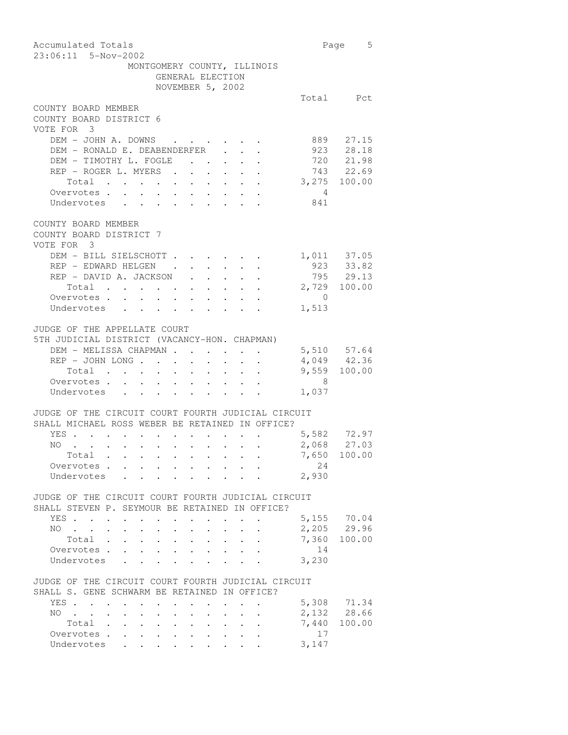| Accumulated Totals<br>23:06:11 5-Nov-2002                                                                                                                                                                                             |                | Page 5                   |
|---------------------------------------------------------------------------------------------------------------------------------------------------------------------------------------------------------------------------------------|----------------|--------------------------|
| MONTGOMERY COUNTY, ILLINOIS                                                                                                                                                                                                           |                |                          |
| GENERAL ELECTION                                                                                                                                                                                                                      |                |                          |
| NOVEMBER 5, 2002                                                                                                                                                                                                                      |                |                          |
|                                                                                                                                                                                                                                       |                | Total Pct                |
| COUNTY BOARD MEMBER                                                                                                                                                                                                                   |                |                          |
| COUNTY BOARD DISTRICT 6                                                                                                                                                                                                               |                |                          |
| VOTE FOR 3                                                                                                                                                                                                                            |                |                          |
| DEM - JOHN A. DOWNS                                                                                                                                                                                                                   |                | 889 27.15                |
| DEM - RONALD E. DEABENDERFER                                                                                                                                                                                                          |                |                          |
| DEM - TIMOTHY L. FOGLE<br>$\mathbf{z} = \mathbf{z} + \mathbf{z}$                                                                                                                                                                      |                | 923 28.18<br>720 21.98   |
| REP - ROGER L. MYERS .<br>$\mathbf{A}$ and $\mathbf{A}$ and $\mathbf{A}$<br>$\mathcal{L}^{\text{max}}$                                                                                                                                |                | $743$ 22.69              |
| Total                                                                                                                                                                                                                                 |                | 3,275 100.00             |
| Total<br>Overvotes                                                                                                                                                                                                                    | $\overline{4}$ |                          |
| Undervotes                                                                                                                                                                                                                            | 841            |                          |
|                                                                                                                                                                                                                                       |                |                          |
| COUNTY BOARD MEMBER<br>COUNTY BOARD DISTRICT 7                                                                                                                                                                                        |                |                          |
| VOTE FOR 3                                                                                                                                                                                                                            |                |                          |
| DEM - BILL SIELSCHOTT.<br>$\sim$                                                                                                                                                                                                      |                |                          |
| REP - EDWARD HELGEN                                                                                                                                                                                                                   |                | 1,011 37.05<br>923 33.82 |
| REP - DAVID A. JACKSON<br>$\mathcal{L}^{\text{max}}$<br>$\mathbf{L}$<br>$\mathbf{L}^{\text{max}}$                                                                                                                                     |                | 795 29.13                |
| $\begin{tabular}{ccccccccccc} Total & . & . & . & . & . & . & . & . & . & . \end{tabular}$                                                                                                                                            |                | 2,729 100.00             |
| Overvotes.                                                                                                                                                                                                                            | $\overline{0}$ |                          |
| Undervotes                                                                                                                                                                                                                            | 1,513          |                          |
|                                                                                                                                                                                                                                       |                |                          |
| JUDGE OF THE APPELLATE COURT<br>5TH JUDICIAL DISTRICT (VACANCY-HON. CHAPMAN)<br>DEM - MELISSA CHAPMAN<br>$\cdot$ $\cdot$ $\cdot$ $\cdot$                                                                                              |                | 5,510 57.64              |
| REP - JOHN LONG<br>$\ddot{\phantom{0}}$<br>$\ddot{\phantom{0}}$<br>$\sim$<br>$\ddot{\phantom{a}}$                                                                                                                                     |                | $4,049$ $42.36$          |
| $\ddot{\phantom{0}}$<br>$\ddot{\phantom{0}}$<br>Total                                                                                                                                                                                 |                | 9,559 100.00             |
| Overvotes                                                                                                                                                                                                                             |                |                          |
|                                                                                                                                                                                                                                       | 8              |                          |
| Undervotes                                                                                                                                                                                                                            | 1,037          |                          |
|                                                                                                                                                                                                                                       |                |                          |
| JUDGE OF THE CIRCUIT COURT FOURTH JUDICIAL CIRCUIT                                                                                                                                                                                    |                |                          |
| SHALL MICHAEL ROSS WEBER BE RETAINED IN OFFICE?                                                                                                                                                                                       |                |                          |
| YES .<br>and a series of the contract of the                                                                                                                                                                                          |                | $5,582$ 72.97            |
| NO.<br>the contract of the contract of the contract of the contract of the contract of the contract of the contract of the contract of the contract of the contract of the contract of the contract of the contract of the contract o |                | 2,068 27.03              |
| Total .                                                                                                                                                                                                                               |                | 7,650 100.00             |
| Overvotes.                                                                                                                                                                                                                            | 24             |                          |
| Undervotes                                                                                                                                                                                                                            | 2,930          |                          |
| JUDGE OF THE CIRCUIT COURT FOURTH JUDICIAL CIRCUIT                                                                                                                                                                                    |                |                          |
| SHALL STEVEN P. SEYMOUR BE RETAINED IN OFFICE?                                                                                                                                                                                        |                |                          |
| YES                                                                                                                                                                                                                                   |                | 5,155 70.04              |
| NO.                                                                                                                                                                                                                                   |                | 2,205 29.96              |
| Total<br>$\sim$<br>$\ddot{\phantom{0}}$                                                                                                                                                                                               |                | 7,360 100.00             |
| Overvotes.<br>$\ddot{\phantom{0}}$<br>$\mathbf{r}$<br>$\mathbf{r}$                                                                                                                                                                    | 14             |                          |
| $\mathbf{L}^{\text{max}}$<br>$\mathbf{r}$<br>$\mathbf{r}$<br>Undervotes<br>$\mathbf{r}$<br>$\mathbf{L}^{\text{max}}$                                                                                                                  | 3,230          |                          |
|                                                                                                                                                                                                                                       |                |                          |
| JUDGE OF THE CIRCUIT COURT FOURTH JUDICIAL CIRCUIT                                                                                                                                                                                    |                |                          |
| SHALL S. GENE SCHWARM BE RETAINED IN OFFICE?                                                                                                                                                                                          |                |                          |
| YES                                                                                                                                                                                                                                   |                | 5,308 71.34              |
| NO.<br>$\ddot{\phantom{0}}$<br>$\sim$ 100 $\mu$                                                                                                                                                                                       |                | 2,132 28.66              |
| Total .<br>$\mathbf{r} = \mathbf{r} \times \mathbf{r}$ , where $\mathbf{r} = \mathbf{r} \times \mathbf{r}$<br>$\bullet$ . In the case of the $\sim$                                                                                   |                | 7,440 100.00             |
| Overvotes.<br>$\sim$<br>$\sim$<br>$\mathcal{L}^{\text{max}}$<br>$\bullet$ .                                                                                                                                                           | 17             |                          |
| Undervotes<br>$\mathbf{r} = \mathbf{r} + \mathbf{r} + \mathbf{r} + \mathbf{r} + \mathbf{r} + \mathbf{r} + \mathbf{r} + \mathbf{r} + \mathbf{r} + \mathbf{r}$                                                                          | 3,147          |                          |
|                                                                                                                                                                                                                                       |                |                          |